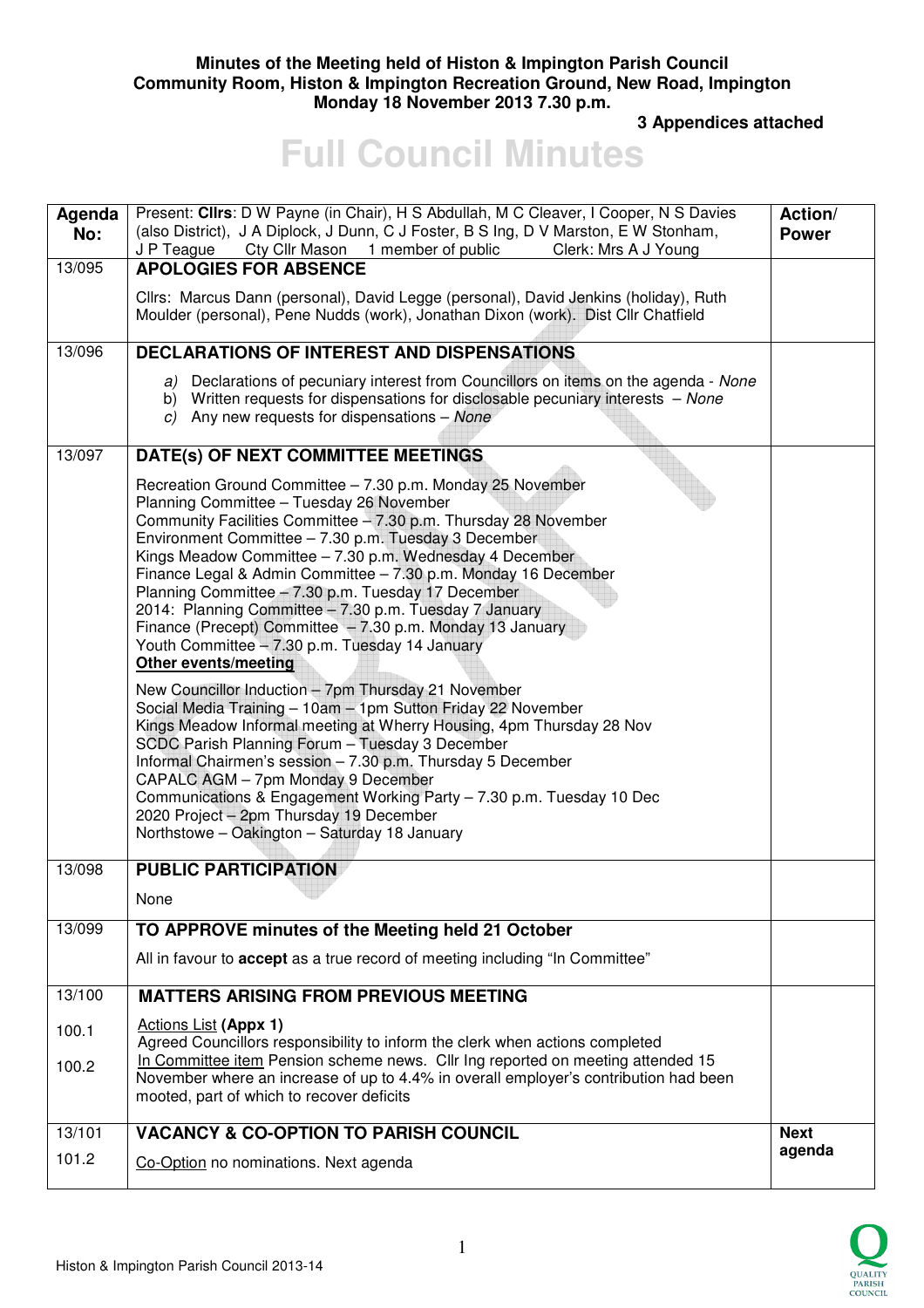#### **Minutes of the Meeting held of Histon & Impington Parish Council Community Room, Histon & Impington Recreation Ground, New Road, Impington Monday 18 November 2013 7.30 p.m.**

 **3 Appendices attached** 

# **Full Council Minutes**

| Agenda<br>No: | Present: Clirs: D W Payne (in Chair), H S Abdullah, M C Cleaver, I Cooper, N S Davies<br>(also District), J A Diplock, J Dunn, C J Foster, B S Ing, D V Marston, E W Stonham,<br>Cty Cllr Mason 1 member of public<br>Clerk: Mrs A J Young<br>J P Teague                                                                                                                                                                                                                                                                                                                                                                                                                            | Action/<br><b>Power</b> |
|---------------|-------------------------------------------------------------------------------------------------------------------------------------------------------------------------------------------------------------------------------------------------------------------------------------------------------------------------------------------------------------------------------------------------------------------------------------------------------------------------------------------------------------------------------------------------------------------------------------------------------------------------------------------------------------------------------------|-------------------------|
| 13/095        | <b>APOLOGIES FOR ABSENCE</b>                                                                                                                                                                                                                                                                                                                                                                                                                                                                                                                                                                                                                                                        |                         |
|               | Cllrs: Marcus Dann (personal), David Legge (personal), David Jenkins (holiday), Ruth<br>Moulder (personal), Pene Nudds (work), Jonathan Dixon (work). Dist Cllr Chatfield                                                                                                                                                                                                                                                                                                                                                                                                                                                                                                           |                         |
| 13/096        | <b>DECLARATIONS OF INTEREST AND DISPENSATIONS</b>                                                                                                                                                                                                                                                                                                                                                                                                                                                                                                                                                                                                                                   |                         |
|               | a) Declarations of pecuniary interest from Councillors on items on the agenda - None<br>b) Written requests for dispensations for disclosable pecuniary interests - None<br>c) Any new requests for dispensations $-$ None                                                                                                                                                                                                                                                                                                                                                                                                                                                          |                         |
| 13/097        | DATE(s) OF NEXT COMMITTEE MEETINGS                                                                                                                                                                                                                                                                                                                                                                                                                                                                                                                                                                                                                                                  |                         |
|               | Recreation Ground Committee - 7.30 p.m. Monday 25 November<br>Planning Committee - Tuesday 26 November<br>Community Facilities Committee - 7.30 p.m. Thursday 28 November<br>Environment Committee - 7.30 p.m. Tuesday 3 December<br>Kings Meadow Committee - 7.30 p.m. Wednesday 4 December<br>Finance Legal & Admin Committee - 7.30 p.m. Monday 16 December<br>Planning Committee - 7.30 p.m. Tuesday 17 December<br>2014: Planning Committee - 7.30 p.m. Tuesday 7 January<br>Finance (Precept) Committee - 7.30 p.m. Monday 13 January<br>Youth Committee - 7.30 p.m. Tuesday 14 January<br><b>Other events/meeting</b><br>New Councillor Induction - 7pm Thursday 21 November |                         |
|               | Social Media Training - 10am - 1pm Sutton Friday 22 November<br>Kings Meadow Informal meeting at Wherry Housing, 4pm Thursday 28 Nov<br>SCDC Parish Planning Forum - Tuesday 3 December<br>Informal Chairmen's session - 7.30 p.m. Thursday 5 December<br>CAPALC AGM - 7pm Monday 9 December<br>Communications & Engagement Working Party - 7.30 p.m. Tuesday 10 Dec<br>2020 Project - 2pm Thursday 19 December<br>Northstowe - Oakington - Saturday 18 January                                                                                                                                                                                                                     |                         |
| 13/098        | <b>PUBLIC PARTICIPATION</b>                                                                                                                                                                                                                                                                                                                                                                                                                                                                                                                                                                                                                                                         |                         |
|               | None                                                                                                                                                                                                                                                                                                                                                                                                                                                                                                                                                                                                                                                                                |                         |
| 13/099        | TO APPROVE minutes of the Meeting held 21 October                                                                                                                                                                                                                                                                                                                                                                                                                                                                                                                                                                                                                                   |                         |
|               | All in favour to accept as a true record of meeting including "In Committee"                                                                                                                                                                                                                                                                                                                                                                                                                                                                                                                                                                                                        |                         |
| 13/100        | <b>MATTERS ARISING FROM PREVIOUS MEETING</b>                                                                                                                                                                                                                                                                                                                                                                                                                                                                                                                                                                                                                                        |                         |
| 100.1         | <b>Actions List (Appx 1)</b><br>Agreed Councillors responsibility to inform the clerk when actions completed                                                                                                                                                                                                                                                                                                                                                                                                                                                                                                                                                                        |                         |
| 100.2         | In Committee item Pension scheme news. Cllr Ing reported on meeting attended 15<br>November where an increase of up to 4.4% in overall employer's contribution had been<br>mooted, part of which to recover deficits                                                                                                                                                                                                                                                                                                                                                                                                                                                                |                         |
| 13/101        | <b>VACANCY &amp; CO-OPTION TO PARISH COUNCIL</b>                                                                                                                                                                                                                                                                                                                                                                                                                                                                                                                                                                                                                                    | <b>Next</b>             |
| 101.2         | Co-Option no nominations. Next agenda                                                                                                                                                                                                                                                                                                                                                                                                                                                                                                                                                                                                                                               | agenda                  |

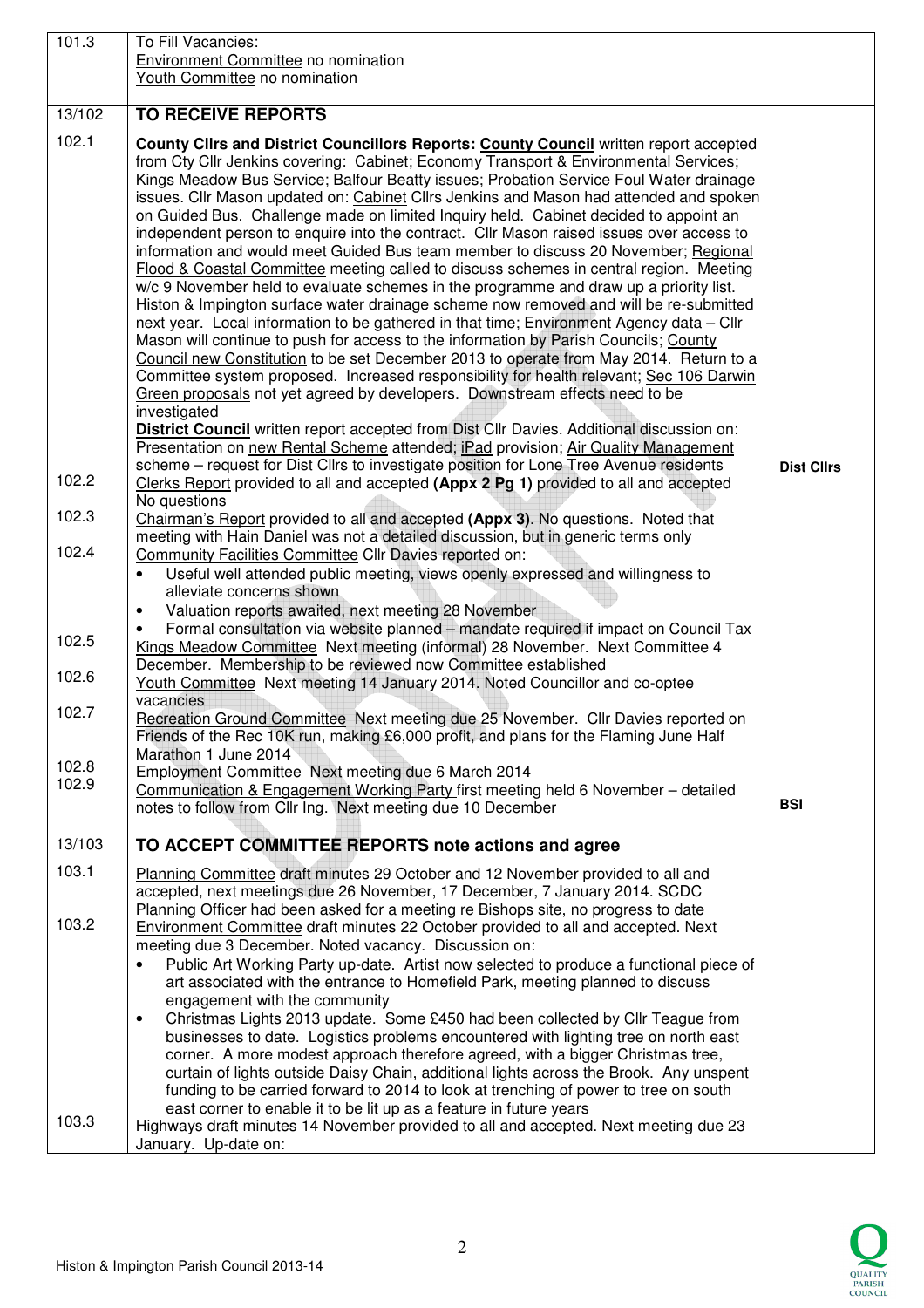| 101.3          | To Fill Vacancies:<br><b>Environment Committee no nomination</b><br>Youth Committee no nomination                                                                                                                                                                                                                                                                                                                                                                                                                                                                                                                                                                                                                                                                                                                                                                                                                                                                                                                                                                                                                                                                                                                                                                                                                                                                                                                                                                                                                                                                                         |                   |
|----------------|-------------------------------------------------------------------------------------------------------------------------------------------------------------------------------------------------------------------------------------------------------------------------------------------------------------------------------------------------------------------------------------------------------------------------------------------------------------------------------------------------------------------------------------------------------------------------------------------------------------------------------------------------------------------------------------------------------------------------------------------------------------------------------------------------------------------------------------------------------------------------------------------------------------------------------------------------------------------------------------------------------------------------------------------------------------------------------------------------------------------------------------------------------------------------------------------------------------------------------------------------------------------------------------------------------------------------------------------------------------------------------------------------------------------------------------------------------------------------------------------------------------------------------------------------------------------------------------------|-------------------|
|                |                                                                                                                                                                                                                                                                                                                                                                                                                                                                                                                                                                                                                                                                                                                                                                                                                                                                                                                                                                                                                                                                                                                                                                                                                                                                                                                                                                                                                                                                                                                                                                                           |                   |
| 13/102         | <b>TO RECEIVE REPORTS</b>                                                                                                                                                                                                                                                                                                                                                                                                                                                                                                                                                                                                                                                                                                                                                                                                                                                                                                                                                                                                                                                                                                                                                                                                                                                                                                                                                                                                                                                                                                                                                                 |                   |
| 102.1          | County Clirs and District Councillors Reports: County Council written report accepted<br>from Cty Cllr Jenkins covering: Cabinet; Economy Transport & Environmental Services;<br>Kings Meadow Bus Service; Balfour Beatty issues; Probation Service Foul Water drainage<br>issues. Cllr Mason updated on: Cabinet Cllrs Jenkins and Mason had attended and spoken<br>on Guided Bus. Challenge made on limited Inquiry held. Cabinet decided to appoint an<br>independent person to enquire into the contract. Cllr Mason raised issues over access to<br>information and would meet Guided Bus team member to discuss 20 November; Regional<br>Flood & Coastal Committee meeting called to discuss schemes in central region. Meeting<br>w/c 9 November held to evaluate schemes in the programme and draw up a priority list.<br>Histon & Impington surface water drainage scheme now removed and will be re-submitted<br>next year. Local information to be gathered in that time; <b>Environment Agency data</b> - Cllr<br>Mason will continue to push for access to the information by Parish Councils; County<br>Council new Constitution to be set December 2013 to operate from May 2014. Return to a<br>Committee system proposed. Increased responsibility for health relevant; Sec 106 Darwin<br>Green proposals not yet agreed by developers. Downstream effects need to be<br>investigated<br>District Council written report accepted from Dist Cllr Davies. Additional discussion on:<br>Presentation on new Rental Scheme attended; iPad provision; Air Quality Management |                   |
| 102.2          | scheme - request for Dist Cllrs to investigate position for Lone Tree Avenue residents<br>Clerks Report provided to all and accepted (Appx 2 Pg 1) provided to all and accepted                                                                                                                                                                                                                                                                                                                                                                                                                                                                                                                                                                                                                                                                                                                                                                                                                                                                                                                                                                                                                                                                                                                                                                                                                                                                                                                                                                                                           | <b>Dist Cllrs</b> |
| 102.3          | No questions<br>Chairman's Report provided to all and accepted (Appx 3). No questions. Noted that<br>meeting with Hain Daniel was not a detailed discussion, but in generic terms only                                                                                                                                                                                                                                                                                                                                                                                                                                                                                                                                                                                                                                                                                                                                                                                                                                                                                                                                                                                                                                                                                                                                                                                                                                                                                                                                                                                                    |                   |
| 102.4          | Community Facilities Committee Cllr Davies reported on:<br>Useful well attended public meeting, views openly expressed and willingness to<br>alleviate concerns shown<br>Valuation reports awaited, next meeting 28 November<br>$\bullet$                                                                                                                                                                                                                                                                                                                                                                                                                                                                                                                                                                                                                                                                                                                                                                                                                                                                                                                                                                                                                                                                                                                                                                                                                                                                                                                                                 |                   |
| 102.5          | Formal consultation via website planned - mandate required if impact on Council Tax<br>Kings Meadow Committee Next meeting (informal) 28 November. Next Committee 4                                                                                                                                                                                                                                                                                                                                                                                                                                                                                                                                                                                                                                                                                                                                                                                                                                                                                                                                                                                                                                                                                                                                                                                                                                                                                                                                                                                                                       |                   |
| 102.6          | December. Membership to be reviewed now Committee established<br>Youth Committee Next meeting 14 January 2014. Noted Councillor and co-optee<br>vacancies                                                                                                                                                                                                                                                                                                                                                                                                                                                                                                                                                                                                                                                                                                                                                                                                                                                                                                                                                                                                                                                                                                                                                                                                                                                                                                                                                                                                                                 |                   |
| 102.7          | Recreation Ground Committee Next meeting due 25 November. Cllr Davies reported on<br>Friends of the Rec 10K run, making £6,000 profit, and plans for the Flaming June Half<br>Marathon 1 June 2014                                                                                                                                                                                                                                                                                                                                                                                                                                                                                                                                                                                                                                                                                                                                                                                                                                                                                                                                                                                                                                                                                                                                                                                                                                                                                                                                                                                        |                   |
| 102.8<br>102.9 | Employment Committee Next meeting due 6 March 2014<br>Communication & Engagement Working Party first meeting held 6 November - detailed<br>notes to follow from Cllr Ing. Next meeting due 10 December                                                                                                                                                                                                                                                                                                                                                                                                                                                                                                                                                                                                                                                                                                                                                                                                                                                                                                                                                                                                                                                                                                                                                                                                                                                                                                                                                                                    | <b>BSI</b>        |
| 13/103         | TO ACCEPT COMMITTEE REPORTS note actions and agree                                                                                                                                                                                                                                                                                                                                                                                                                                                                                                                                                                                                                                                                                                                                                                                                                                                                                                                                                                                                                                                                                                                                                                                                                                                                                                                                                                                                                                                                                                                                        |                   |
| 103.1          | Planning Committee draft minutes 29 October and 12 November provided to all and<br>accepted, next meetings due 26 November, 17 December, 7 January 2014. SCDC<br>Planning Officer had been asked for a meeting re Bishops site, no progress to date                                                                                                                                                                                                                                                                                                                                                                                                                                                                                                                                                                                                                                                                                                                                                                                                                                                                                                                                                                                                                                                                                                                                                                                                                                                                                                                                       |                   |
| 103.2          | <b>Environment Committee draft minutes 22 October provided to all and accepted. Next</b><br>meeting due 3 December. Noted vacancy. Discussion on:<br>Public Art Working Party up-date. Artist now selected to produce a functional piece of<br>$\bullet$<br>art associated with the entrance to Homefield Park, meeting planned to discuss<br>engagement with the community<br>Christmas Lights 2013 update. Some £450 had been collected by Cllr Teague from<br>$\bullet$<br>businesses to date. Logistics problems encountered with lighting tree on north east<br>corner. A more modest approach therefore agreed, with a bigger Christmas tree,<br>curtain of lights outside Daisy Chain, additional lights across the Brook. Any unspent<br>funding to be carried forward to 2014 to look at trenching of power to tree on south<br>east corner to enable it to be lit up as a feature in future years                                                                                                                                                                                                                                                                                                                                                                                                                                                                                                                                                                                                                                                                               |                   |
| 103.3          | Highways draft minutes 14 November provided to all and accepted. Next meeting due 23<br>January. Up-date on:                                                                                                                                                                                                                                                                                                                                                                                                                                                                                                                                                                                                                                                                                                                                                                                                                                                                                                                                                                                                                                                                                                                                                                                                                                                                                                                                                                                                                                                                              |                   |

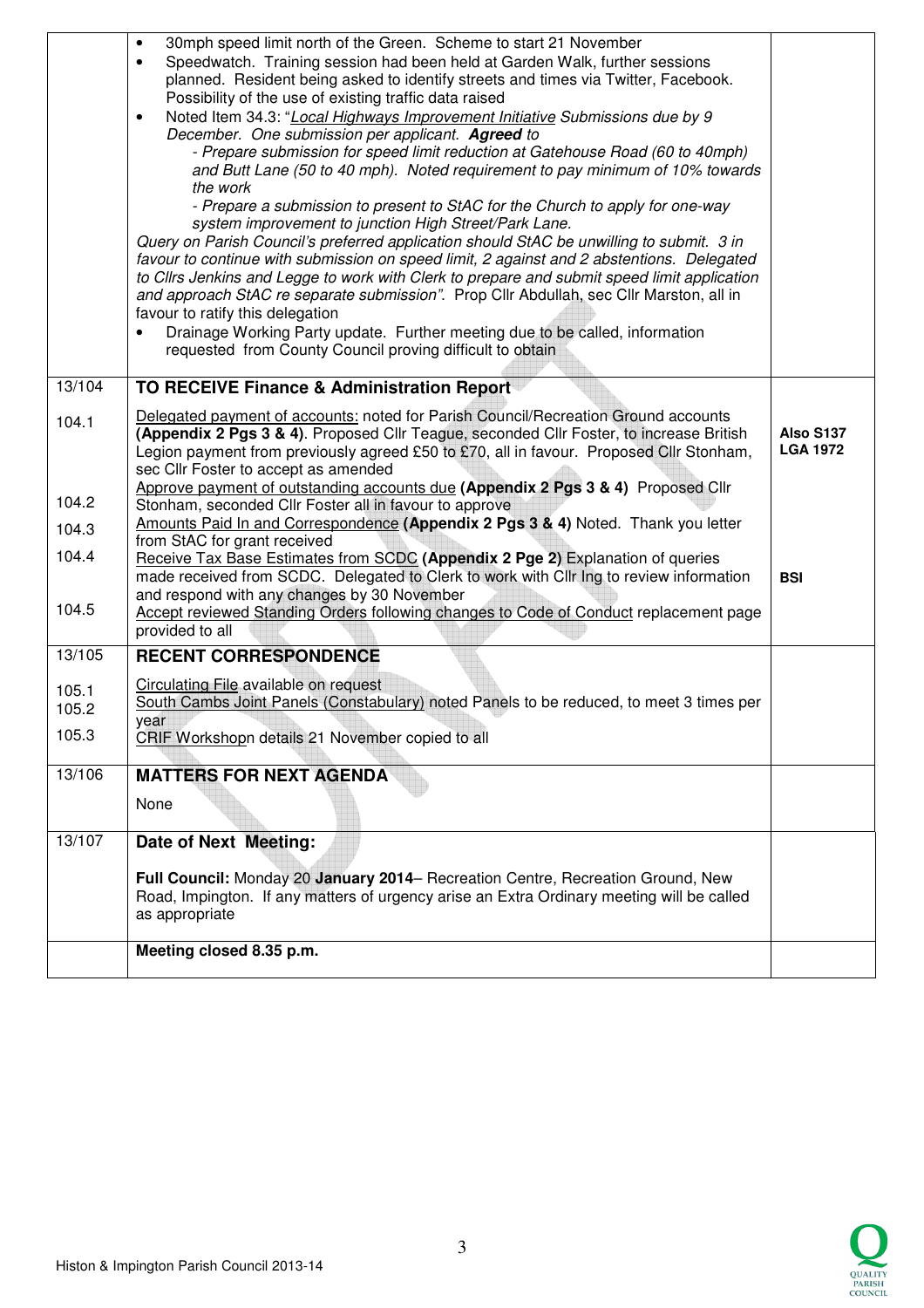|                | 30mph speed limit north of the Green. Scheme to start 21 November<br>$\bullet$<br>Speedwatch. Training session had been held at Garden Walk, further sessions<br>$\bullet$<br>planned. Resident being asked to identify streets and times via Twitter, Facebook.<br>Possibility of the use of existing traffic data raised<br>Noted Item 34.3: "Local Highways Improvement Initiative Submissions due by 9<br>$\bullet$<br>December. One submission per applicant. Agreed to<br>- Prepare submission for speed limit reduction at Gatehouse Road (60 to 40mph)<br>and Butt Lane (50 to 40 mph). Noted requirement to pay minimum of 10% towards<br>the work<br>- Prepare a submission to present to StAC for the Church to apply for one-way<br>system improvement to junction High Street/Park Lane.<br>Query on Parish Council's preferred application should StAC be unwilling to submit. 3 in<br>favour to continue with submission on speed limit, 2 against and 2 abstentions. Delegated<br>to Cllrs Jenkins and Legge to work with Clerk to prepare and submit speed limit application<br>and approach StAC re separate submission". Prop Cllr Abdullah, sec Cllr Marston, all in<br>favour to ratify this delegation<br>Drainage Working Party update. Further meeting due to be called, information<br>requested from County Council proving difficult to obtain |                              |
|----------------|---------------------------------------------------------------------------------------------------------------------------------------------------------------------------------------------------------------------------------------------------------------------------------------------------------------------------------------------------------------------------------------------------------------------------------------------------------------------------------------------------------------------------------------------------------------------------------------------------------------------------------------------------------------------------------------------------------------------------------------------------------------------------------------------------------------------------------------------------------------------------------------------------------------------------------------------------------------------------------------------------------------------------------------------------------------------------------------------------------------------------------------------------------------------------------------------------------------------------------------------------------------------------------------------------------------------------------------------------------------------------|------------------------------|
| 13/104         | TO RECEIVE Finance & Administration Report                                                                                                                                                                                                                                                                                                                                                                                                                                                                                                                                                                                                                                                                                                                                                                                                                                                                                                                                                                                                                                                                                                                                                                                                                                                                                                                                |                              |
| 104.1          | Delegated payment of accounts: noted for Parish Council/Recreation Ground accounts<br>(Appendix 2 Pgs 3 & 4). Proposed Cllr Teague, seconded Cllr Foster, to increase British<br>Legion payment from previously agreed £50 to £70, all in favour. Proposed Cllr Stonham,<br>sec Cllr Foster to accept as amended                                                                                                                                                                                                                                                                                                                                                                                                                                                                                                                                                                                                                                                                                                                                                                                                                                                                                                                                                                                                                                                          | Also S137<br><b>LGA 1972</b> |
| 104.2          | Approve payment of outstanding accounts due (Appendix 2 Pgs 3 & 4) Proposed Cllr<br>Stonham, seconded Cllr Foster all in favour to approve                                                                                                                                                                                                                                                                                                                                                                                                                                                                                                                                                                                                                                                                                                                                                                                                                                                                                                                                                                                                                                                                                                                                                                                                                                |                              |
| 104.3          | Amounts Paid In and Correspondence (Appendix 2 Pgs 3 & 4) Noted. Thank you letter<br>from StAC for grant received                                                                                                                                                                                                                                                                                                                                                                                                                                                                                                                                                                                                                                                                                                                                                                                                                                                                                                                                                                                                                                                                                                                                                                                                                                                         |                              |
| 104.4          | Receive Tax Base Estimates from SCDC (Appendix 2 Pge 2) Explanation of queries<br>made received from SCDC. Delegated to Clerk to work with Cllr Ing to review information                                                                                                                                                                                                                                                                                                                                                                                                                                                                                                                                                                                                                                                                                                                                                                                                                                                                                                                                                                                                                                                                                                                                                                                                 | <b>BSI</b>                   |
| 104.5          | and respond with any changes by 30 November<br>Accept reviewed Standing Orders following changes to Code of Conduct replacement page<br>provided to all                                                                                                                                                                                                                                                                                                                                                                                                                                                                                                                                                                                                                                                                                                                                                                                                                                                                                                                                                                                                                                                                                                                                                                                                                   |                              |
| 13/105         | <b>RECENT CORRESPONDENCE</b>                                                                                                                                                                                                                                                                                                                                                                                                                                                                                                                                                                                                                                                                                                                                                                                                                                                                                                                                                                                                                                                                                                                                                                                                                                                                                                                                              |                              |
| 105.1<br>105.2 | Circulating File available on request<br>South Cambs Joint Panels (Constabulary) noted Panels to be reduced, to meet 3 times per                                                                                                                                                                                                                                                                                                                                                                                                                                                                                                                                                                                                                                                                                                                                                                                                                                                                                                                                                                                                                                                                                                                                                                                                                                          |                              |
| 105.3          | year<br>CRIF Workshopn details 21 November copied to all                                                                                                                                                                                                                                                                                                                                                                                                                                                                                                                                                                                                                                                                                                                                                                                                                                                                                                                                                                                                                                                                                                                                                                                                                                                                                                                  |                              |
| 13/106         | <b>MATTERS FOR NEXT AGENDA</b>                                                                                                                                                                                                                                                                                                                                                                                                                                                                                                                                                                                                                                                                                                                                                                                                                                                                                                                                                                                                                                                                                                                                                                                                                                                                                                                                            |                              |
|                | None                                                                                                                                                                                                                                                                                                                                                                                                                                                                                                                                                                                                                                                                                                                                                                                                                                                                                                                                                                                                                                                                                                                                                                                                                                                                                                                                                                      |                              |
| 13/107         | Date of Next Meeting:                                                                                                                                                                                                                                                                                                                                                                                                                                                                                                                                                                                                                                                                                                                                                                                                                                                                                                                                                                                                                                                                                                                                                                                                                                                                                                                                                     |                              |
|                | Full Council: Monday 20 January 2014– Recreation Centre, Recreation Ground, New<br>Road, Impington. If any matters of urgency arise an Extra Ordinary meeting will be called<br>as appropriate                                                                                                                                                                                                                                                                                                                                                                                                                                                                                                                                                                                                                                                                                                                                                                                                                                                                                                                                                                                                                                                                                                                                                                            |                              |
|                | Meeting closed 8.35 p.m.                                                                                                                                                                                                                                                                                                                                                                                                                                                                                                                                                                                                                                                                                                                                                                                                                                                                                                                                                                                                                                                                                                                                                                                                                                                                                                                                                  |                              |
|                |                                                                                                                                                                                                                                                                                                                                                                                                                                                                                                                                                                                                                                                                                                                                                                                                                                                                                                                                                                                                                                                                                                                                                                                                                                                                                                                                                                           |                              |

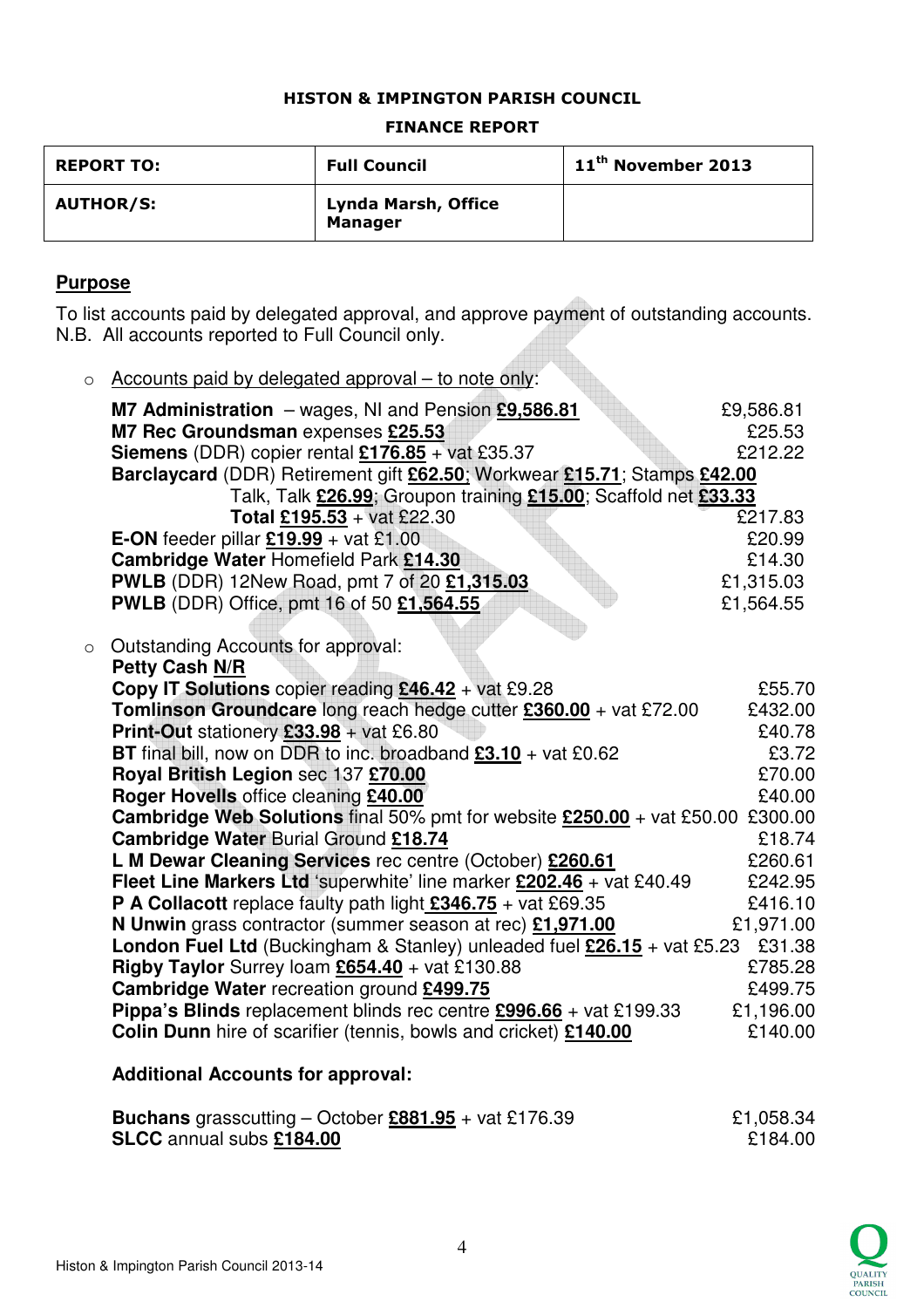### HISTON & IMPINGTON PARISH COUNCIL

#### FINANCE REPORT

| <b>REPORT TO:</b> | <b>Full Council</b>                   | $11th$ November 2013 |
|-------------------|---------------------------------------|----------------------|
| <b>AUTHOR/S:</b>  | Lynda Marsh, Office<br><b>Manager</b> |                      |

## **Purpose**

To list accounts paid by delegated approval, and approve payment of outstanding accounts. N.B. All accounts reported to Full Council only.

| $\circ$ | Accounts paid by delegated approval – to note only:                                               |           |
|---------|---------------------------------------------------------------------------------------------------|-----------|
|         | M7 Administration - wages, NI and Pension £9,586.81                                               | £9,586.81 |
|         | M7 Rec Groundsman expenses £25.53                                                                 | £25.53    |
|         | <b>Siemens</b> (DDR) copier rental $£176.85 + \text{vat } £35.37$                                 | £212.22   |
|         | Barclaycard (DDR) Retirement gift £62.50; Workwear £15.71; Stamps £42.00                          |           |
|         | Talk, Talk £26.99; Groupon training £15.00; Scaffold net £33.33                                   |           |
|         | Total £195.53 + vat £22.30                                                                        | £217.83   |
|         | <b>E-ON</b> feeder pillar £19.99 + vat £1.00                                                      | £20.99    |
|         | Cambridge Water Homefield Park £14.30                                                             | £14.30    |
|         | <b>PWLB</b> (DDR) 12New Road, pmt 7 of 20 £1,315.03                                               | £1,315.03 |
|         | <b>PWLB</b> (DDR) Office, pmt 16 of 50 £1,564.55                                                  | £1,564.55 |
|         |                                                                                                   |           |
| $\circ$ | Outstanding Accounts for approval:<br><b>Petty Cash N/R</b>                                       |           |
|         | Copy IT Solutions copier reading £46.42 + vat £9.28                                               | £55.70    |
|         | Tomlinson Groundcare long reach hedge cutter £360.00 + vat £72.00                                 | £432.00   |
|         | <b>Print-Out</b> stationery $£33.98 + \text{vat } £6.80$                                          | £40.78    |
|         | BT final bill, now on DDR to inc. broadband $£3.10 + \text{vat } £0.62$                           | £3.72     |
|         | Royal British Legion sec 137 £70.00                                                               | £70.00    |
|         | Roger Hovells office cleaning £40.00                                                              | £40.00    |
|         | <b>Cambridge Web Solutions</b> final 50% pmt for website $£250.00 + \text{vat } £50.00 + £300.00$ |           |
|         | Cambridge Water Burial Ground £18.74                                                              | £18.74    |
|         | L M Dewar Cleaning Services rec centre (October) £260.61                                          | £260.61   |
|         | <b>Fleet Line Markers Ltd</b> 'superwhite' line marker £202.46 + vat £40.49                       | £242.95   |
|         | <b>P A Collacott</b> replace faulty path light $\frac{2346.75}{7}$ + vat £69.35                   | £416.10   |
|         | N Unwin grass contractor (summer season at rec) £1,971.00                                         | £1,971.00 |
|         | London Fuel Ltd (Buckingham & Stanley) unleaded fuel $£26.15 +$ vat £5.23                         | £31.38    |
|         | <b>Rigby Taylor</b> Surrey loam $E654.40 + \text{vat }E130.88$                                    | £785.28   |
|         | Cambridge Water recreation ground £499.75                                                         | £499.75   |
|         | Pippa's Blinds replacement blinds rec centre £996.66 + vat £199.33                                | £1,196.00 |
|         | Colin Dunn hire of scarifier (tennis, bowls and cricket) £140.00                                  | £140.00   |

## **Additional Accounts for approval:**

| <b>Buchans</b> grasscutting – October $\frac{6881.95}{1000}$ + vat £176.39 | £1,058.34 |
|----------------------------------------------------------------------------|-----------|
| <b>SLCC</b> annual subs £184.00                                            | £184.00   |